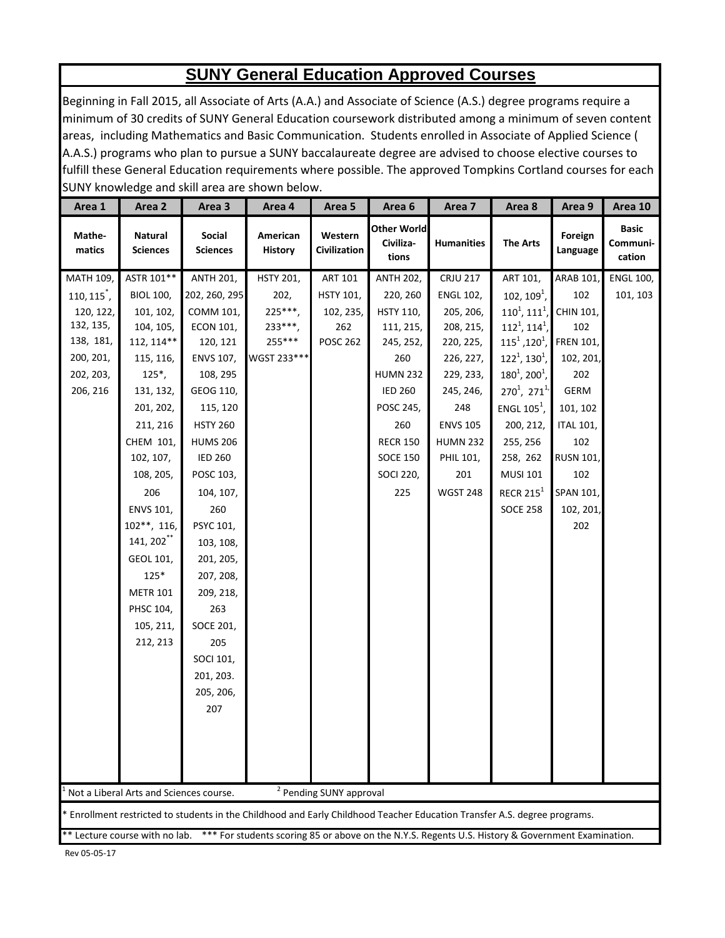## **SUNY General Education Approved Courses**

Beginning in Fall 2015, all Associate of Arts (A.A.) and Associate of Science (A.S.) degree programs require a minimum of 30 credits of SUNY General Education coursework distributed among a minimum of seven content areas, including Mathematics and Basic Communication. Students enrolled in Associate of Applied Science ( A.A.S.) programs who plan to pursue a SUNY baccalaureate degree are advised to choose elective courses to fulfill these General Education requirements where possible. The approved Tompkins Cortland courses for each SUNY knowledge and skill area are shown below.

| Area 1                                                                                                                           | Area 2                                                                                                                  | Area 3                    | Area 4                     | Area 5                         | Area 6                                   | Area 7            | Area 8              | Area 9              | Area 10                            |  |
|----------------------------------------------------------------------------------------------------------------------------------|-------------------------------------------------------------------------------------------------------------------------|---------------------------|----------------------------|--------------------------------|------------------------------------------|-------------------|---------------------|---------------------|------------------------------------|--|
| Mathe-<br>matics                                                                                                                 | <b>Natural</b><br><b>Sciences</b>                                                                                       | Social<br><b>Sciences</b> | American<br><b>History</b> | Western<br><b>Civilization</b> | <b>Other World</b><br>Civiliza-<br>tions | <b>Humanities</b> | <b>The Arts</b>     | Foreign<br>Language | <b>Basic</b><br>Communi-<br>cation |  |
| MATH 109,                                                                                                                        | ASTR 101**                                                                                                              | <b>ANTH 201,</b>          | <b>HSTY 201,</b>           | ART 101                        | <b>ANTH 202,</b>                         | <b>CRJU 217</b>   | ART 101,            | <b>ARAB 101,</b>    | <b>ENGL 100,</b>                   |  |
| $110, 115^{*}$ ,                                                                                                                 | <b>BIOL 100,</b>                                                                                                        | 202, 260, 295             | 202,                       | <b>HSTY 101,</b>               | 220, 260                                 | <b>ENGL 102,</b>  | $102, 1091$ ,       | 102                 | 101, 103                           |  |
| 120, 122,                                                                                                                        | 101, 102,                                                                                                               | COMM 101,                 | $225***$ ,                 | 102, 235,                      | <b>HSTY 110,</b>                         | 205, 206,         | $110^1, 111^1,$     | CHIN 101,           |                                    |  |
| 132, 135,                                                                                                                        | 104, 105,                                                                                                               | <b>ECON 101,</b>          | $233***$                   | 262                            | 111, 215,                                | 208, 215,         | $112^1$ , $114^1$ , | 102                 |                                    |  |
| 138, 181,                                                                                                                        | 112, 114**                                                                                                              | 120, 121                  | 255***                     | <b>POSC 262</b>                | 245, 252,                                | 220, 225,         | $115^1, 120^1,$     | <b>FREN 101,</b>    |                                    |  |
| 200, 201,                                                                                                                        | 115, 116,                                                                                                               | ENVS 107,                 | WGST 233***                |                                | 260                                      | 226, 227,         | $122^1$ , $130^1$ , | 102, 201,           |                                    |  |
| 202, 203,                                                                                                                        | $125^*$ ,                                                                                                               | 108, 295                  |                            |                                | <b>HUMN 232</b>                          | 229, 233,         | $180^1$ , $200^1$ , | 202                 |                                    |  |
| 206, 216                                                                                                                         | 131, 132,                                                                                                               | GEOG 110,                 |                            |                                | <b>IED 260</b>                           | 245, 246,         | $270^1$ , $271^1$   | GERM                |                                    |  |
|                                                                                                                                  | 201, 202,                                                                                                               | 115, 120                  |                            |                                | POSC 245,                                | 248               | ENGL $105^1$ ,      | 101, 102            |                                    |  |
|                                                                                                                                  | 211, 216                                                                                                                | <b>HSTY 260</b>           |                            |                                | 260                                      | <b>ENVS 105</b>   | 200, 212,           | <b>ITAL 101,</b>    |                                    |  |
|                                                                                                                                  | CHEM 101,                                                                                                               | <b>HUMS 206</b>           |                            |                                | <b>RECR 150</b>                          | <b>HUMN 232</b>   | 255, 256            | 102                 |                                    |  |
|                                                                                                                                  | 102, 107,                                                                                                               | <b>IED 260</b>            |                            |                                | <b>SOCE 150</b>                          | PHIL 101,         | 258, 262            | <b>RUSN 101,</b>    |                                    |  |
|                                                                                                                                  | 108, 205,                                                                                                               | POSC 103,                 |                            |                                | <b>SOCI 220,</b>                         | 201               | <b>MUSI 101</b>     | 102                 |                                    |  |
|                                                                                                                                  | 206                                                                                                                     | 104, 107,                 |                            |                                | 225                                      | <b>WGST 248</b>   | RECR $215^1$        | SPAN 101,           |                                    |  |
|                                                                                                                                  | ENVS 101,                                                                                                               | 260                       |                            |                                |                                          |                   | <b>SOCE 258</b>     | 102, 201,           |                                    |  |
|                                                                                                                                  | $102**$ , 116,                                                                                                          | PSYC 101,                 |                            |                                |                                          |                   |                     | 202                 |                                    |  |
|                                                                                                                                  | 141, 202 <sup>**</sup>                                                                                                  | 103, 108,                 |                            |                                |                                          |                   |                     |                     |                                    |  |
|                                                                                                                                  | GEOL 101,                                                                                                               | 201, 205,                 |                            |                                |                                          |                   |                     |                     |                                    |  |
|                                                                                                                                  | $125*$                                                                                                                  | 207, 208,                 |                            |                                |                                          |                   |                     |                     |                                    |  |
|                                                                                                                                  | <b>METR 101</b>                                                                                                         | 209, 218,                 |                            |                                |                                          |                   |                     |                     |                                    |  |
|                                                                                                                                  | PHSC 104,                                                                                                               | 263                       |                            |                                |                                          |                   |                     |                     |                                    |  |
|                                                                                                                                  | 105, 211,                                                                                                               | SOCE 201,                 |                            |                                |                                          |                   |                     |                     |                                    |  |
|                                                                                                                                  | 212, 213                                                                                                                | 205                       |                            |                                |                                          |                   |                     |                     |                                    |  |
|                                                                                                                                  |                                                                                                                         | SOCI 101,                 |                            |                                |                                          |                   |                     |                     |                                    |  |
|                                                                                                                                  |                                                                                                                         | 201, 203.                 |                            |                                |                                          |                   |                     |                     |                                    |  |
|                                                                                                                                  |                                                                                                                         | 205, 206,                 |                            |                                |                                          |                   |                     |                     |                                    |  |
|                                                                                                                                  |                                                                                                                         | 207                       |                            |                                |                                          |                   |                     |                     |                                    |  |
|                                                                                                                                  |                                                                                                                         |                           |                            |                                |                                          |                   |                     |                     |                                    |  |
|                                                                                                                                  |                                                                                                                         |                           |                            |                                |                                          |                   |                     |                     |                                    |  |
|                                                                                                                                  |                                                                                                                         |                           |                            |                                |                                          |                   |                     |                     |                                    |  |
|                                                                                                                                  |                                                                                                                         |                           |                            |                                |                                          |                   |                     |                     |                                    |  |
| <sup>2</sup> Pending SUNY approval<br>Not a Liberal Arts and Sciences course.                                                    |                                                                                                                         |                           |                            |                                |                                          |                   |                     |                     |                                    |  |
|                                                                                                                                  | Enrollment restricted to students in the Childhood and Early Childhood Teacher Education Transfer A.S. degree programs. |                           |                            |                                |                                          |                   |                     |                     |                                    |  |
| ** Lecture course with no lab. *** For students scoring 85 or above on the N.Y.S. Regents U.S. History & Government Examination. |                                                                                                                         |                           |                            |                                |                                          |                   |                     |                     |                                    |  |